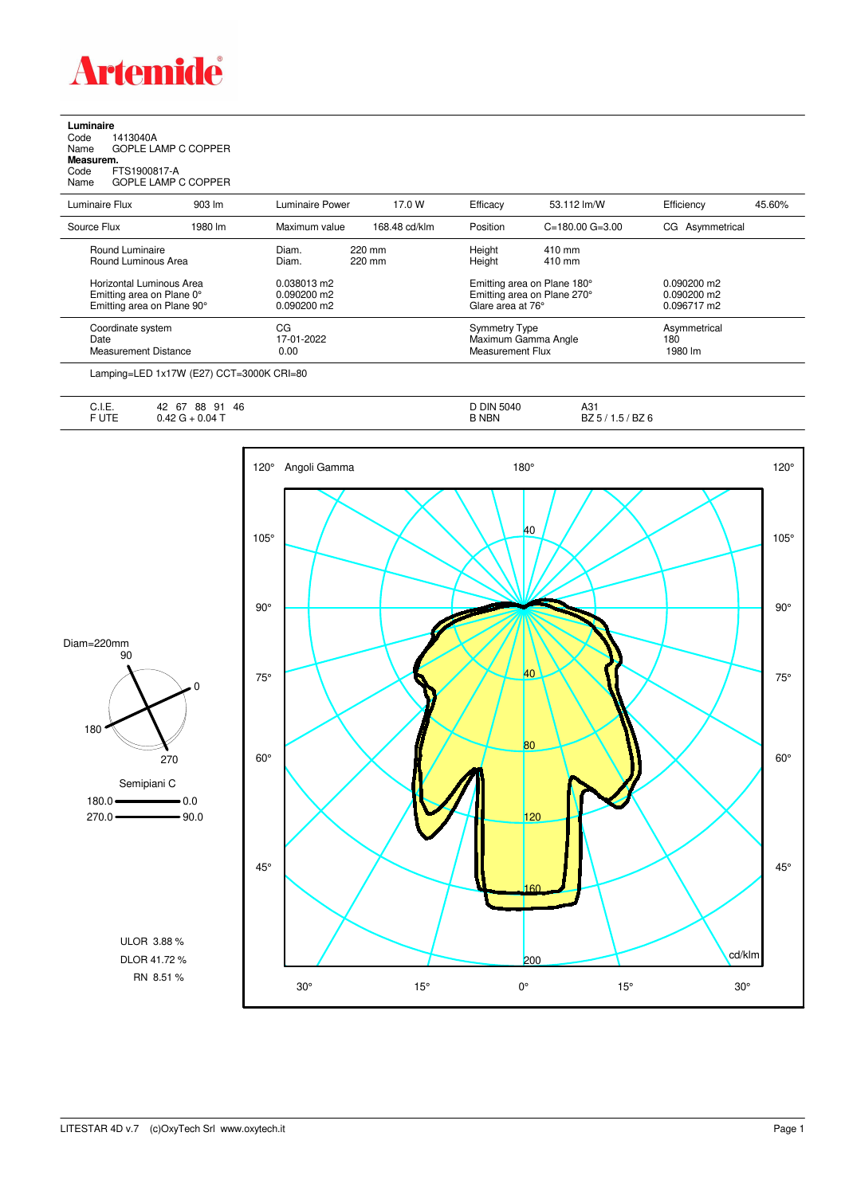

**Luminaire**<br>Code 1<br>Name ( Code 1413040A Name GOPLE LAMP C COPPER **Measurem.**

Code FTS1900817-A Name GOPLE LAMP C COPPER

| Luminaire Flux                                                                                                                                                                                                                                                                                                                                                                                                                                                                             | $903 \, \text{Im}$ | Luminaire Power | 17.0 W        | Efficacy             | 53.112 lm/W                 | Efficiency      | 45.60% |
|--------------------------------------------------------------------------------------------------------------------------------------------------------------------------------------------------------------------------------------------------------------------------------------------------------------------------------------------------------------------------------------------------------------------------------------------------------------------------------------------|--------------------|-----------------|---------------|----------------------|-----------------------------|-----------------|--------|
| Source Flux                                                                                                                                                                                                                                                                                                                                                                                                                                                                                | 1980 lm            | Maximum value   | 168.48 cd/klm | Position             | $C = 180.00$ $G = 3.00$     | CG Asymmetrical |        |
| Round Luminaire                                                                                                                                                                                                                                                                                                                                                                                                                                                                            |                    | Diam.           | 220 mm        | Height               | 410 mm                      |                 |        |
| Round Luminous Area                                                                                                                                                                                                                                                                                                                                                                                                                                                                        |                    | Diam.           | 220 mm        | Height               | 410 mm                      |                 |        |
| Horizontal Luminous Area                                                                                                                                                                                                                                                                                                                                                                                                                                                                   |                    | 0.038013 m2     |               |                      | Emitting area on Plane 180° | $0.090200$ m2   |        |
| Emitting area on Plane 0°                                                                                                                                                                                                                                                                                                                                                                                                                                                                  |                    | 0.090200 m2     |               |                      | Emitting area on Plane 270° |                 |        |
| Emitting area on Plane 90°                                                                                                                                                                                                                                                                                                                                                                                                                                                                 |                    | 0.090200 m2     |               | Glare area at 76°    |                             | 0.096717 m2     |        |
| Coordinate system                                                                                                                                                                                                                                                                                                                                                                                                                                                                          |                    | СG              |               | <b>Symmetry Type</b> |                             | Asymmetrical    |        |
| Date                                                                                                                                                                                                                                                                                                                                                                                                                                                                                       |                    | 17-01-2022      |               |                      | Maximum Gamma Angle         | 180             |        |
| <b>Measurement Distance</b>                                                                                                                                                                                                                                                                                                                                                                                                                                                                |                    | 0.00            |               | Measurement Flux     |                             | 1980 lm         |        |
| $\blacksquare$ $\blacksquare$ $\blacksquare$ $\blacksquare$ $\blacksquare$ $\blacksquare$ $\blacksquare$ $\blacksquare$ $\blacksquare$ $\blacksquare$ $\blacksquare$ $\blacksquare$ $\blacksquare$ $\blacksquare$ $\blacksquare$ $\blacksquare$ $\blacksquare$ $\blacksquare$ $\blacksquare$ $\blacksquare$ $\blacksquare$ $\blacksquare$ $\blacksquare$ $\blacksquare$ $\blacksquare$ $\blacksquare$ $\blacksquare$ $\blacksquare$ $\blacksquare$ $\blacksquare$ $\blacksquare$ $\blacks$ |                    |                 |               |                      |                             |                 |        |

Lamping=LED 1x17W (E27) CCT=3000K CRI=80

| $\blacksquare$<br>∪. I.⊏. | 46<br>88<br>67<br>Q <sub>1</sub><br>42<br>ັ | <b>D DIN 5040</b> | A31                               |
|---------------------------|---------------------------------------------|-------------------|-----------------------------------|
| $-1.7-$<br>◡              | $0.04$ T<br>ം.42 ∩                          | B NBN             | ' BZ 6<br>BZ 5.<br>$\sim$<br>ں. ا |